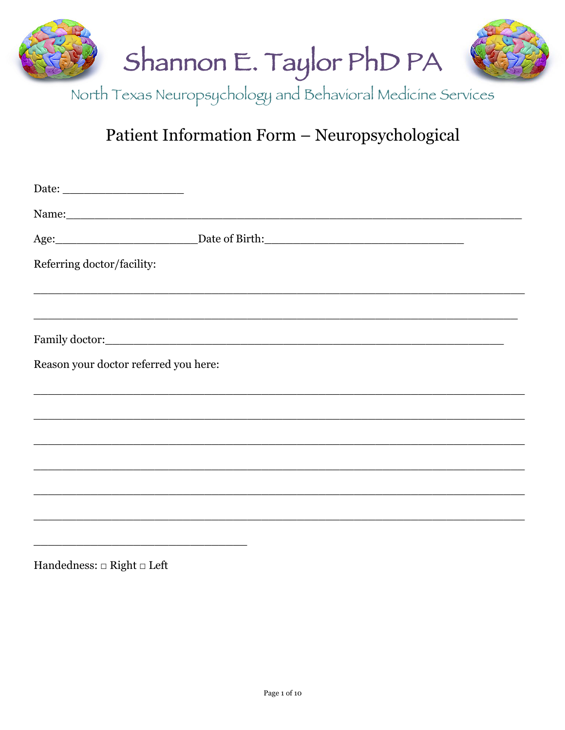

North Texas Neuropsychology and Behavioral Medicine Services

# Patient Information Form - Neuropsychological

| Referring doctor/facility:            |                                                                                                                      |  |
|---------------------------------------|----------------------------------------------------------------------------------------------------------------------|--|
|                                       |                                                                                                                      |  |
|                                       |                                                                                                                      |  |
| Reason your doctor referred you here: |                                                                                                                      |  |
|                                       | <u> 1989 - Johann Barn, amerikan basar basa dalam basa dan basa dalam basa dalam basa dalam basa dalam basa dala</u> |  |
|                                       |                                                                                                                      |  |
|                                       |                                                                                                                      |  |
|                                       |                                                                                                                      |  |
|                                       |                                                                                                                      |  |
|                                       |                                                                                                                      |  |

Handedness:  $\hfill \Box$  <br> Right  $\hfill \Box$  <br> Left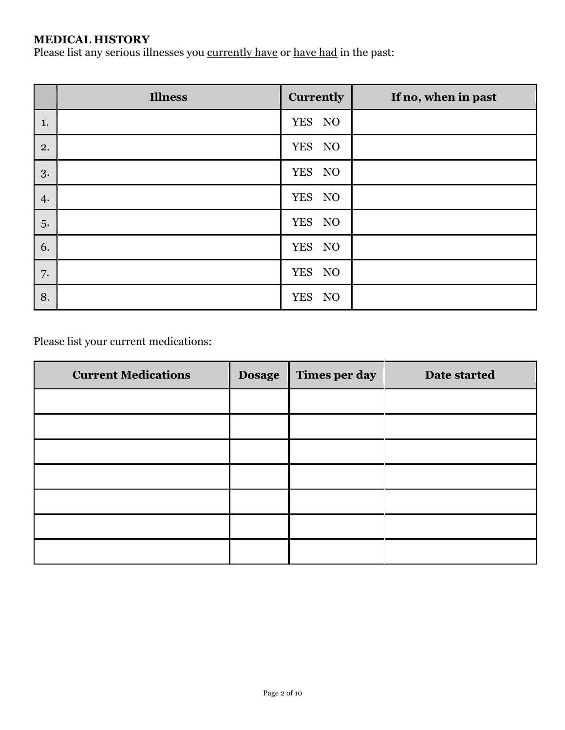#### **MEDICAL HISTORY**

Please list any serious illnesses you currently have or have had in the past:

|    | <b>Illness</b> | <b>Currently</b> | If no, when in past |
|----|----------------|------------------|---------------------|
| 1. |                | YES NO           |                     |
| 2. |                | YES NO           |                     |
| 3. |                | YES NO           |                     |
| 4. |                | YES NO           |                     |
| 5. |                | YES NO           |                     |
| 6. |                | YES NO           |                     |
| 7. |                | YES NO           |                     |
| 8. |                | <b>YES</b><br>NO |                     |

Please list your current medications:

| <b>Current Medications</b> | <b>Dosage</b> | Times per day | Date started |
|----------------------------|---------------|---------------|--------------|
|                            |               |               |              |
|                            |               |               |              |
|                            |               |               |              |
|                            |               |               |              |
|                            |               |               |              |
|                            |               |               |              |
|                            |               |               |              |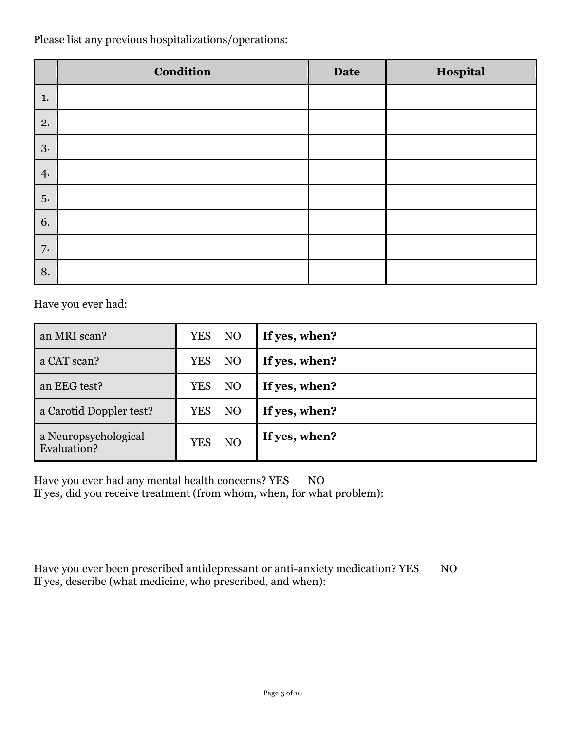Please list any previous hospitalizations/operations:

|    | <b>Condition</b> | <b>Date</b> | Hospital |
|----|------------------|-------------|----------|
| 1. |                  |             |          |
| 2. |                  |             |          |
| 3. |                  |             |          |
| 4. |                  |             |          |
| 5. |                  |             |          |
| 6. |                  |             |          |
| 7. |                  |             |          |
| 8. |                  |             |          |

Have you ever had:

| an MRI scan?                        | NO<br>YES        | If yes, when? |
|-------------------------------------|------------------|---------------|
| a CAT scan?                         | NO<br>YES        | If yes, when? |
| an EEG test?                        | NO<br>YES        | If yes, when? |
| a Carotid Doppler test?             | NO<br><b>YES</b> | If yes, when? |
| a Neuropsychological<br>Evaluation? | NO<br>YES        | If yes, when? |

Have you ever had any mental health concerns? YES NO If yes, did you receive treatment (from whom, when, for what problem):

Have you ever been prescribed antidepressant or anti-anxiety medication? YES NO If yes, describe (what medicine, who prescribed, and when):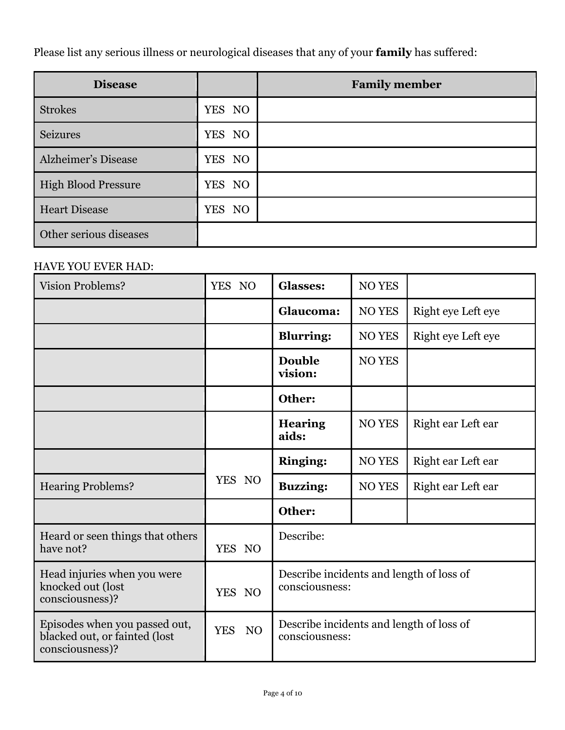Please list any serious illness or neurological diseases that any of your **family** has suffered:

| <b>Disease</b>             |        | <b>Family member</b> |
|----------------------------|--------|----------------------|
| <b>Strokes</b>             | YES NO |                      |
| <b>Seizures</b>            | YES NO |                      |
| <b>Alzheimer's Disease</b> | YES NO |                      |
| <b>High Blood Pressure</b> | YES NO |                      |
| <b>Heart Disease</b>       | YES NO |                      |
| Other serious diseases     |        |                      |

# HAVE YOU EVER HAD:

| <b>Vision Problems?</b>                                                           | YES NO                       | <b>Glasses:</b>                                            | <b>NO YES</b> |                    |
|-----------------------------------------------------------------------------------|------------------------------|------------------------------------------------------------|---------------|--------------------|
|                                                                                   |                              | Glaucoma:                                                  | <b>NO YES</b> | Right eye Left eye |
|                                                                                   |                              | <b>Blurring:</b>                                           | <b>NO YES</b> | Right eye Left eye |
|                                                                                   |                              | <b>Double</b><br>vision:                                   | <b>NO YES</b> |                    |
|                                                                                   |                              | Other:                                                     |               |                    |
|                                                                                   |                              | <b>Hearing</b><br>aids:                                    | <b>NO YES</b> | Right ear Left ear |
|                                                                                   |                              | <b>Ringing:</b>                                            | <b>NO YES</b> | Right ear Left ear |
| <b>Hearing Problems?</b>                                                          | YES NO                       | <b>Buzzing:</b>                                            | <b>NO YES</b> | Right ear Left ear |
|                                                                                   |                              | Other:                                                     |               |                    |
| Heard or seen things that others<br>have not?                                     | YES NO                       | Describe:                                                  |               |                    |
| Head injuries when you were<br>knocked out (lost<br>consciousness)?               | YES NO                       | Describe incidents and length of loss of<br>consciousness: |               |                    |
| Episodes when you passed out,<br>blacked out, or fainted (lost<br>consciousness)? | <b>YES</b><br>N <sub>O</sub> | Describe incidents and length of loss of<br>consciousness: |               |                    |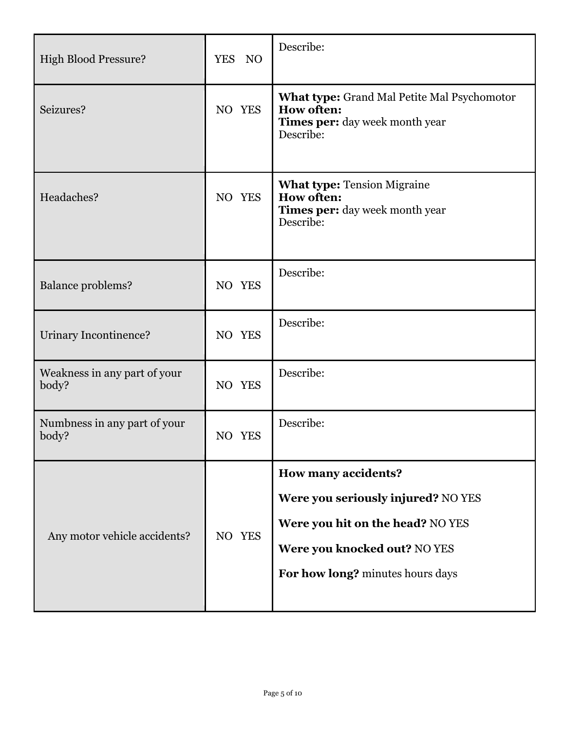| <b>High Blood Pressure?</b>           | YES NO | Describe:                                                                                                                                                                |
|---------------------------------------|--------|--------------------------------------------------------------------------------------------------------------------------------------------------------------------------|
| Seizures?                             | NO YES | <b>What type:</b> Grand Mal Petite Mal Psychomotor<br><b>How often:</b><br>Times per: day week month year<br>Describe:                                                   |
| Headaches?                            | NO YES | <b>What type: Tension Migraine</b><br><b>How often:</b><br>Times per: day week month year<br>Describe:                                                                   |
| <b>Balance problems?</b>              | NO YES | Describe:                                                                                                                                                                |
| Urinary Incontinence?                 | NO YES | Describe:                                                                                                                                                                |
| Weakness in any part of your<br>body? | NO YES | Describe:                                                                                                                                                                |
| Numbness in any part of your<br>body? | NO YES | Describe:                                                                                                                                                                |
| Any motor vehicle accidents?          | NO YES | <b>How many accidents?</b><br>Were you seriously injured? NO YES<br>Were you hit on the head? NO YES<br>Were you knocked out? NO YES<br>For how long? minutes hours days |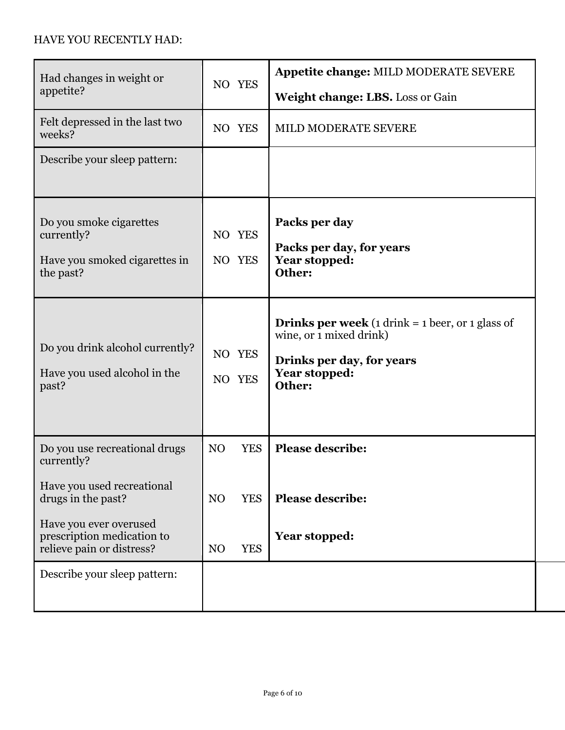## HAVE YOU RECENTLY HAD:

| Had changes in weight or<br>appetite?                                               | NO YES                       | Appetite change: MILD MODERATE SEVERE<br>Weight change: LBS. Loss or Gain                                                                         |
|-------------------------------------------------------------------------------------|------------------------------|---------------------------------------------------------------------------------------------------------------------------------------------------|
| Felt depressed in the last two<br>weeks?                                            | NO YES                       | MILD MODERATE SEVERE                                                                                                                              |
| Describe your sleep pattern:                                                        |                              |                                                                                                                                                   |
| Do you smoke cigarettes<br>currently?<br>Have you smoked cigarettes in<br>the past? | NO YES<br>NO YES             | Packs per day<br>Packs per day, for years<br><b>Year stopped:</b><br>Other:                                                                       |
| Do you drink alcohol currently?<br>Have you used alcohol in the<br>past?            | NO YES<br>NO YES             | <b>Drinks per week</b> (1 drink = 1 beer, or 1 glass of<br>wine, or 1 mixed drink)<br>Drinks per day, for years<br><b>Year stopped:</b><br>Other: |
| Do you use recreational drugs<br>currently?                                         | N <sub>O</sub><br><b>YES</b> | <b>Please describe:</b>                                                                                                                           |
| Have you used recreational<br>drugs in the past?                                    | <b>YES</b><br>N <sub>O</sub> | <b>Please describe:</b>                                                                                                                           |
| Have you ever overused<br>prescription medication to<br>relieve pain or distress?   | <b>YES</b><br>N <sub>O</sub> | Year stopped:                                                                                                                                     |
| Describe your sleep pattern:                                                        |                              |                                                                                                                                                   |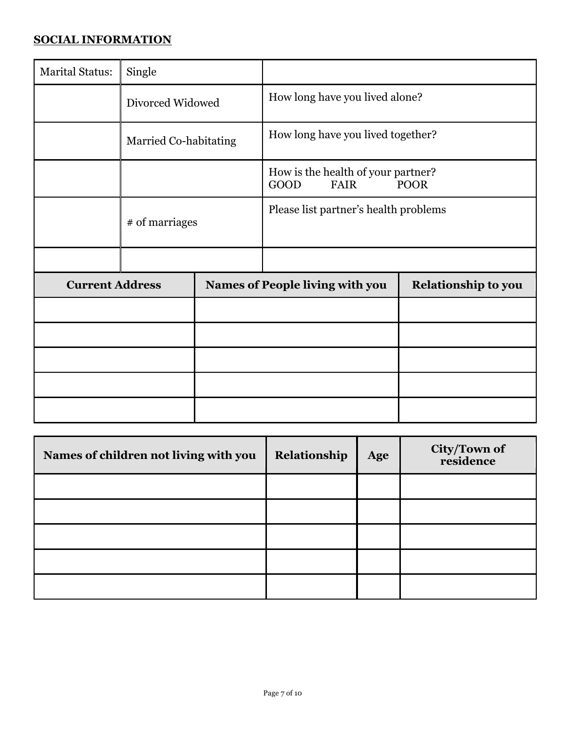## **SOCIAL INFORMATION**

| <b>Marital Status:</b> | Single                |  |                                                                          |                            |
|------------------------|-----------------------|--|--------------------------------------------------------------------------|----------------------------|
|                        | Divorced Widowed      |  | How long have you lived alone?                                           |                            |
|                        | Married Co-habitating |  | How long have you lived together?                                        |                            |
|                        |                       |  | How is the health of your partner?<br>GOOD<br><b>FAIR</b><br><b>POOR</b> |                            |
|                        | # of marriages        |  | Please list partner's health problems                                    |                            |
|                        |                       |  |                                                                          |                            |
| <b>Current Address</b> |                       |  | <b>Names of People living with you</b>                                   | <b>Relationship to you</b> |
|                        |                       |  |                                                                          |                            |
|                        |                       |  |                                                                          |                            |
|                        |                       |  |                                                                          |                            |
|                        |                       |  |                                                                          |                            |
|                        |                       |  |                                                                          |                            |

| Names of children not living with you | Relationship | Age | <b>City/Town of<br/>residence</b> |
|---------------------------------------|--------------|-----|-----------------------------------|
|                                       |              |     |                                   |
|                                       |              |     |                                   |
|                                       |              |     |                                   |
|                                       |              |     |                                   |
|                                       |              |     |                                   |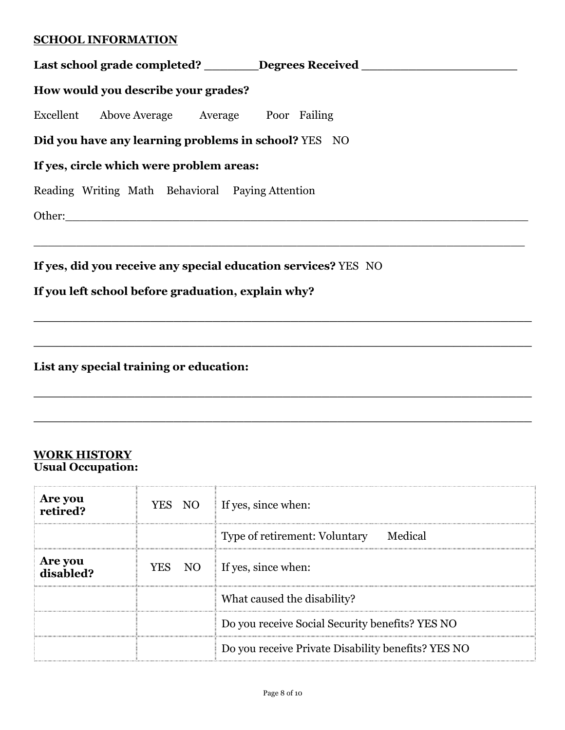#### **SCHOOL INFORMATION**

| Last school grade completed? ________Degrees Received __________________________ |  |  |  |  |
|----------------------------------------------------------------------------------|--|--|--|--|
| How would you describe your grades?                                              |  |  |  |  |
| Excellent Above Average Average Poor Failing                                     |  |  |  |  |
| Did you have any learning problems in school? YES NO                             |  |  |  |  |
| If yes, circle which were problem areas:                                         |  |  |  |  |
| Reading Writing Math Behavioral Paying Attention                                 |  |  |  |  |
|                                                                                  |  |  |  |  |
|                                                                                  |  |  |  |  |
| If yes, did you receive any special education services? YES NO                   |  |  |  |  |
| If you left school before graduation, explain why?                               |  |  |  |  |
|                                                                                  |  |  |  |  |
|                                                                                  |  |  |  |  |

**List any special training or education:** 

#### **WORK HISTORY Usual Occupation:**

| <b>Are you</b><br>retired? |  | YES NO If yes, since when:                         |
|----------------------------|--|----------------------------------------------------|
|                            |  | Type of retirement: Voluntary Medical              |
| Are you<br>disabled?       |  | YES NO If yes, since when:                         |
|                            |  | What caused the disability?                        |
|                            |  | Do you receive Social Security benefits? YES NO    |
|                            |  | Do you receive Private Disability benefits? YES NO |

**\_\_\_\_\_\_\_\_\_\_\_\_\_\_\_\_\_\_\_\_\_\_\_\_\_\_\_\_\_\_\_\_\_\_\_\_\_\_\_\_\_\_\_\_\_\_\_\_\_\_\_\_\_\_\_\_\_\_\_\_\_\_\_\_**

**\_\_\_\_\_\_\_\_\_\_\_\_\_\_\_\_\_\_\_\_\_\_\_\_\_\_\_\_\_\_\_\_\_\_\_\_\_\_\_\_\_\_\_\_\_\_\_\_\_\_\_\_\_\_\_\_\_\_\_\_\_\_\_\_**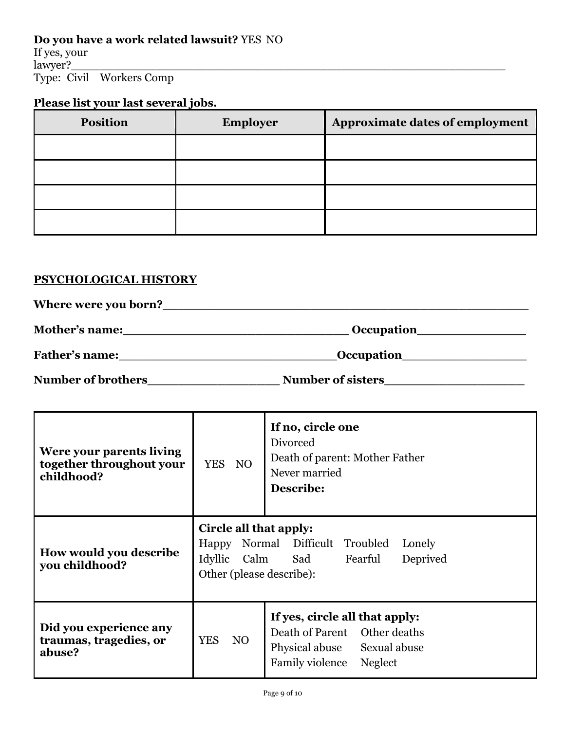# **Do you have a work related lawsuit?** YES NO

If yes, your lawyer?\_\_\_\_\_\_\_\_\_\_\_\_\_\_\_\_\_\_\_\_\_\_\_\_\_\_\_\_\_\_\_\_\_\_\_\_\_\_\_\_\_\_\_\_\_\_\_\_\_\_\_\_\_\_\_\_\_\_\_\_\_ Type: Civil Workers Comp

# **Please list your last several jobs.**

| <b>Position</b> | <b>Employer</b> | <b>Approximate dates of employment</b> |
|-----------------|-----------------|----------------------------------------|
|                 |                 |                                        |
|                 |                 |                                        |
|                 |                 |                                        |
|                 |                 |                                        |

## **PSYCHOLOGICAL HISTORY**

| Where were you born?      |                          |  |
|---------------------------|--------------------------|--|
| Mother's name:            | <b>Occupation</b>        |  |
| <b>Father's name:</b>     | <b>Occupation</b>        |  |
| <b>Number of brothers</b> | <b>Number of sisters</b> |  |

| Were your parents living<br>together throughout your<br>childhood? | YES NO                                                                                                                                           | If no, circle one<br>Divorced<br>Death of parent: Mother Father<br>Never married<br><b>Describe:</b>                     |  |
|--------------------------------------------------------------------|--------------------------------------------------------------------------------------------------------------------------------------------------|--------------------------------------------------------------------------------------------------------------------------|--|
| <b>How would you describe</b><br>you childhood?                    | Circle all that apply:<br>Happy Normal Difficult Troubled<br>Lonely<br>Idyllic<br>Deprived<br>Calm<br>Sad<br>Fearful<br>Other (please describe): |                                                                                                                          |  |
| Did you experience any<br>traumas, tragedies, or<br>abuse?         | <b>YES</b><br>N <sub>O</sub>                                                                                                                     | If yes, circle all that apply:<br>Death of Parent Other deaths<br>Physical abuse Sexual abuse<br>Family violence Neglect |  |